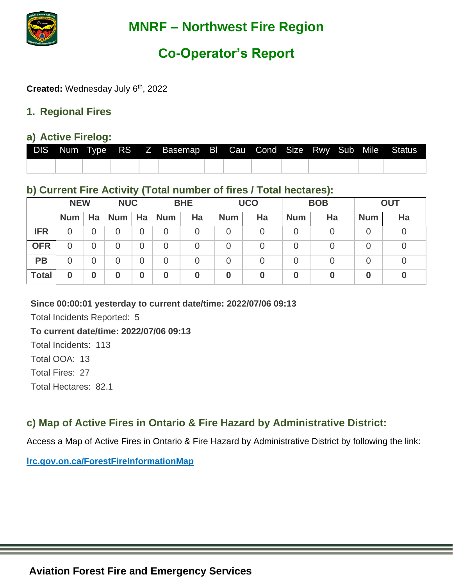

# **Co-Operator's Report**

Created: Wednesday July 6<sup>th</sup>, 2022

#### **1. Regional Fires**

#### **a) Active Firelog:**

|  |  | DIS Num Type RS Z Basemap BI Cau Cond Size Rwy Sub Mile Status |  |  |  |  |
|--|--|----------------------------------------------------------------|--|--|--|--|
|  |  |                                                                |  |  |  |  |

### **b) Current Fire Activity (Total number of fires / Total hectares):**

|              | <b>NEW</b> |    | <b>NUC</b> |    | <b>BHE</b> |    | <b>UCO</b> |    | <b>BOB</b> |    | <b>OUT</b> |    |
|--------------|------------|----|------------|----|------------|----|------------|----|------------|----|------------|----|
|              | <b>Num</b> | Ha | <b>Num</b> | Ha | <b>Num</b> | Ha | <b>Num</b> | Ha | <b>Num</b> | Ha | <b>Num</b> | Ha |
| <b>IFR</b>   | 0          | 0  |            | Ő  | O          |    |            |    |            |    |            |    |
| <b>OFR</b>   | 0          | 0  |            | 0  | O          |    |            | 0  |            |    |            |    |
| <b>PB</b>    | 0          | 0  |            | 0  | 0          |    |            | 0  |            |    |            |    |
| <b>Total</b> | 0          | 0  | 0          | 0  | 0          | 0  | $\bf{0}$   | 0  |            |    |            |    |

#### **Since 00:00:01 yesterday to current date/time: 2022/07/06 09:13**

Total Incidents Reported: 5

#### **To current date/time: 2022/07/06 09:13**

Total Incidents: 113 Total OOA: 13 Total Fires: 27 Total Hectares: 82.1

## **c) Map of Active Fires in Ontario & Fire Hazard by Administrative District:**

Access a Map of Active Fires in Ontario & Fire Hazard by Administrative District by following the link:

**[lrc.gov.on.ca/ForestFireInformationMap](http://www.gisapplication.lrc.gov.on.ca/ForestFireInformationMap/Index.html?viewer=FFIM.FFIM&locale=en=US)**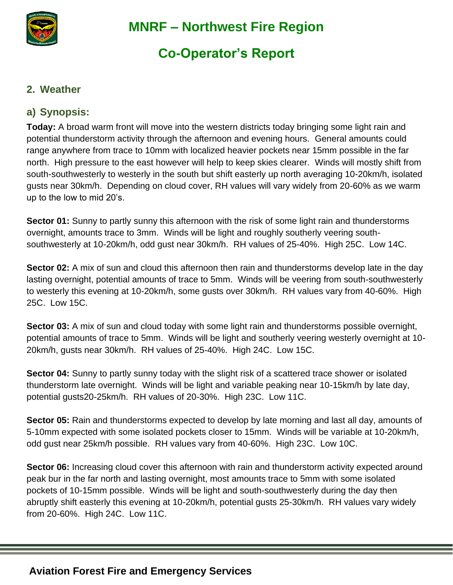

# **Co-Operator's Report**

#### **2. Weather**

## **a) Synopsis:**

**Today:** A broad warm front will move into the western districts today bringing some light rain and potential thunderstorm activity through the afternoon and evening hours. General amounts could range anywhere from trace to 10mm with localized heavier pockets near 15mm possible in the far north. High pressure to the east however will help to keep skies clearer. Winds will mostly shift from south-southwesterly to westerly in the south but shift easterly up north averaging 10-20km/h, isolated gusts near 30km/h. Depending on cloud cover, RH values will vary widely from 20-60% as we warm up to the low to mid 20's.

**Sector 01:** Sunny to partly sunny this afternoon with the risk of some light rain and thunderstorms overnight, amounts trace to 3mm. Winds will be light and roughly southerly veering southsouthwesterly at 10-20km/h, odd gust near 30km/h. RH values of 25-40%. High 25C. Low 14C.

**Sector 02:** A mix of sun and cloud this afternoon then rain and thunderstorms develop late in the day lasting overnight, potential amounts of trace to 5mm. Winds will be veering from south-southwesterly to westerly this evening at 10-20km/h, some gusts over 30km/h. RH values vary from 40-60%. High 25C. Low 15C.

**Sector 03:** A mix of sun and cloud today with some light rain and thunderstorms possible overnight, potential amounts of trace to 5mm. Winds will be light and southerly veering westerly overnight at 10- 20km/h, gusts near 30km/h. RH values of 25-40%. High 24C. Low 15C.

**Sector 04:** Sunny to partly sunny today with the slight risk of a scattered trace shower or isolated thunderstorm late overnight. Winds will be light and variable peaking near 10-15km/h by late day, potential gusts20-25km/h. RH values of 20-30%. High 23C. Low 11C.

**Sector 05:** Rain and thunderstorms expected to develop by late morning and last all day, amounts of 5-10mm expected with some isolated pockets closer to 15mm. Winds will be variable at 10-20km/h, odd gust near 25km/h possible. RH values vary from 40-60%. High 23C. Low 10C.

**Sector 06:** Increasing cloud cover this afternoon with rain and thunderstorm activity expected around peak bur in the far north and lasting overnight, most amounts trace to 5mm with some isolated pockets of 10-15mm possible. Winds will be light and south-southwesterly during the day then abruptly shift easterly this evening at 10-20km/h, potential gusts 25-30km/h. RH values vary widely from 20-60%. High 24C. Low 11C.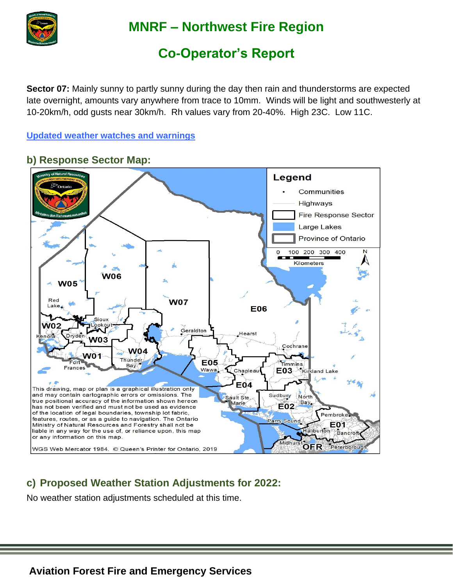

# **Co-Operator's Report**

**Sector 07:** Mainly sunny to partly sunny during the day then rain and thunderstorms are expected late overnight, amounts vary anywhere from trace to 10mm. Winds will be light and southwesterly at 10-20km/h, odd gusts near 30km/h. Rh values vary from 20-40%. High 23C. Low 11C.

**[Updated weather watches and warnings](http://weather.gc.ca/warnings/index_e.html?prov=non)**

#### Legend Communities **Highways** Fire Response Sector Large Lakes **Province of Ontario** 100 200 300 400  $\Omega$ Kilometers **W06 W05** Red **W07** Lak **E06** Siou  $W<sub>0</sub>2$ Geraldton Hearst Dryden  $n$ ora **W03** Cochrane **W04 W01** Thunder Fort **E05** Timmins **Bay Frances** Wawa, Chapleau E03 Kirkland Lake E04 This drawing, map or plan is a graphical illustration only and may contain cartographic errors or omissions. The Sudbury North ault Ste true positional accuracy of the information shown hereon Marie Bay. **E02** has not been verified and must not be used as evidence of the location of legal boundaries, township lot fabric, Pembroke features, routes, or as a guide to navigation. The Ontario arry Sound Ministry of Natural Resources and Forestry shall not be E01 liable in any way for the use of, or reliance upon, this map aliburton Bancrof or any information on this map. **OFR** Peterborough WGS Web Mercator 1984. © Queen's Printer for Ontario, 2019

### **b) Response Sector Map:**

## **c) Proposed Weather Station Adjustments for 2022:**

No weather station adjustments scheduled at this time.